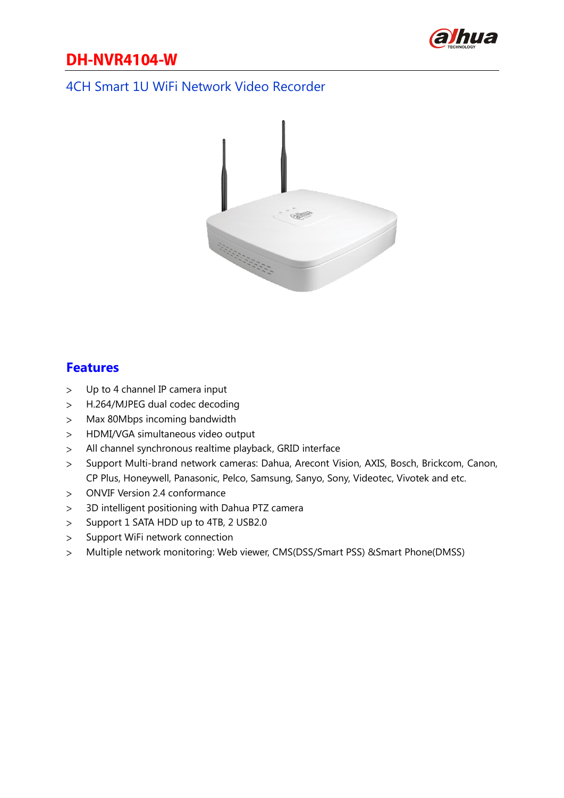

## **DH-NVR4104-W**

#### 4CH Smart 1U WiFi Network Video Recorder



#### **Features**

- Up to 4 channel IP camera input  $\geq$
- H.264/MJPEG dual codec decoding  $\geq$
- Max 80Mbps incoming bandwidth  $\geq$
- HDMI/VGA simultaneous video output  $\geq$
- All channel synchronous realtime playback, GRID interface  $\geq$
- Support Multi-brand network cameras: Dahua, Arecont Vision, AXIS, Bosch, Brickcom, Canon,  $\geq$ CP Plus, Honeywell, Panasonic, Pelco, Samsung, Sanyo, Sony, Videotec, Vivotek and etc.
- ONVIF Version 2.4 conformance  $\geq$
- 3D intelligent positioning with Dahua PTZ camera  $\geq$
- Support 1 SATA HDD up to 4TB, 2 USB2.0  $\geq$
- Support WiFi network connection  $\geq$
- Multiple network monitoring: Web viewer, CMS(DSS/Smart PSS) &Smart Phone(DMSS) $\geq$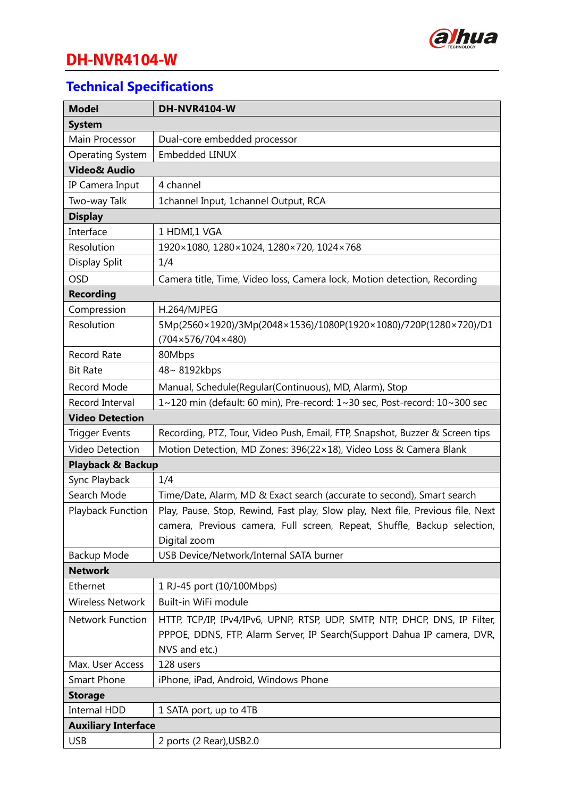

# **DH-NVR4104-W**

## **Technical Specifications**

| <b>Model</b>                 | DH-NVR4104-W                                                                    |  |
|------------------------------|---------------------------------------------------------------------------------|--|
| <b>System</b>                |                                                                                 |  |
| Main Processor               | Dual-core embedded processor                                                    |  |
| <b>Operating System</b>      | Embedded LINUX                                                                  |  |
| <b>Video&amp; Audio</b>      |                                                                                 |  |
| IP Camera Input              | 4 channel                                                                       |  |
| Two-way Talk                 | 1channel Input, 1channel Output, RCA                                            |  |
| <b>Display</b>               |                                                                                 |  |
| Interface                    | 1 HDMI,1 VGA                                                                    |  |
| Resolution                   | 1920×1080, 1280×1024, 1280×720, 1024×768                                        |  |
| Display Split                | 1/4                                                                             |  |
| <b>OSD</b>                   | Camera title, Time, Video loss, Camera lock, Motion detection, Recording        |  |
| <b>Recording</b>             |                                                                                 |  |
| Compression                  | H.264/MJPEG                                                                     |  |
| Resolution                   | 5Mp(2560×1920)/3Mp(2048×1536)/1080P(1920×1080)/720P(1280×720)/D1                |  |
|                              | $(704 \times 576 / 704 \times 480)$                                             |  |
| Record Rate                  | 80Mbps                                                                          |  |
| <b>Bit Rate</b>              | 48~8192kbps                                                                     |  |
| Record Mode                  | Manual, Schedule(Regular(Continuous), MD, Alarm), Stop                          |  |
| Record Interval              | 1~120 min (default: 60 min), Pre-record: 1~30 sec, Post-record: 10~300 sec      |  |
| <b>Video Detection</b>       |                                                                                 |  |
| <b>Trigger Events</b>        | Recording, PTZ, Tour, Video Push, Email, FTP, Snapshot, Buzzer & Screen tips    |  |
| Video Detection              | Motion Detection, MD Zones: 396(22×18), Video Loss & Camera Blank               |  |
| <b>Playback &amp; Backup</b> |                                                                                 |  |
| Sync Playback                | 1/4                                                                             |  |
| Search Mode                  | Time/Date, Alarm, MD & Exact search (accurate to second), Smart search          |  |
| Playback Function            | Play, Pause, Stop, Rewind, Fast play, Slow play, Next file, Previous file, Next |  |
|                              | camera, Previous camera, Full screen, Repeat, Shuffle, Backup selection,        |  |
|                              | Digital zoom                                                                    |  |
| Backup Mode                  | USB Device/Network/Internal SATA burner                                         |  |
| <b>Network</b>               |                                                                                 |  |
| Ethernet                     | 1 RJ-45 port (10/100Mbps)                                                       |  |
| <b>Wireless Network</b>      | Built-in WiFi module                                                            |  |
| <b>Network Function</b>      | HTTP, TCP/IP, IPv4/IPv6, UPNP, RTSP, UDP, SMTP, NTP, DHCP, DNS, IP Filter,      |  |
|                              | PPPOE, DDNS, FTP, Alarm Server, IP Search(Support Dahua IP camera, DVR,         |  |
|                              | NVS and etc.)                                                                   |  |
| Max. User Access             | 128 users                                                                       |  |
| <b>Smart Phone</b>           | iPhone, iPad, Android, Windows Phone                                            |  |
| <b>Storage</b>               |                                                                                 |  |
| Internal HDD                 | 1 SATA port, up to 4TB                                                          |  |
| <b>Auxiliary Interface</b>   |                                                                                 |  |
| <b>USB</b>                   | 2 ports (2 Rear), USB2.0                                                        |  |